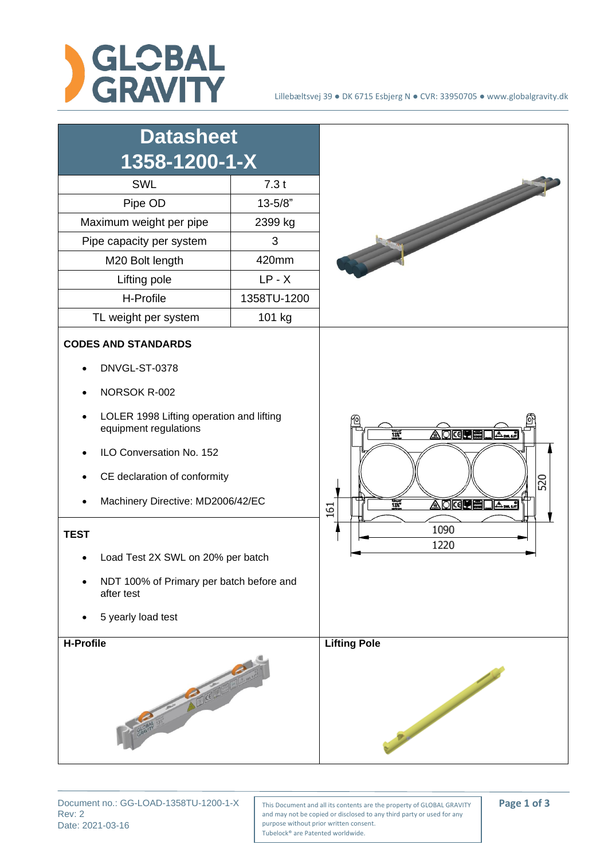

| <b>Datasheet</b>                                                                                                                                                                                                                                                                                                                                                      |             |                                                                                                            |
|-----------------------------------------------------------------------------------------------------------------------------------------------------------------------------------------------------------------------------------------------------------------------------------------------------------------------------------------------------------------------|-------------|------------------------------------------------------------------------------------------------------------|
| 1358-1200-1-X                                                                                                                                                                                                                                                                                                                                                         |             |                                                                                                            |
| SWL                                                                                                                                                                                                                                                                                                                                                                   | 7.3t        |                                                                                                            |
| Pipe OD                                                                                                                                                                                                                                                                                                                                                               | $13 - 5/8"$ |                                                                                                            |
| Maximum weight per pipe                                                                                                                                                                                                                                                                                                                                               | 2399 kg     |                                                                                                            |
| Pipe capacity per system                                                                                                                                                                                                                                                                                                                                              | 3           |                                                                                                            |
| M20 Bolt length                                                                                                                                                                                                                                                                                                                                                       | 420mm       |                                                                                                            |
| Lifting pole                                                                                                                                                                                                                                                                                                                                                          | $LP - X$    |                                                                                                            |
| H-Profile                                                                                                                                                                                                                                                                                                                                                             | 1358TU-1200 |                                                                                                            |
| TL weight per system                                                                                                                                                                                                                                                                                                                                                  | 101 kg      |                                                                                                            |
| <b>CODES AND STANDARDS</b><br>DNVGL-ST-0378<br>NORSOK R-002<br>LOLER 1998 Lifting operation and lifting<br>equipment regulations<br>ILO Conversation No. 152<br>CE declaration of conformity<br>Machinery Directive: MD2006/42/EC<br><b>TEST</b><br>Load Test 2X SWL on 20% per batch<br>NDT 100% of Primary per batch before and<br>after test<br>5 yearly load test |             | AQ <b>œ⊞⊞</b><br>$\frac{13x^2}{2x}$<br>520<br>AQK <b>ede D</b> A<br>$\frac{1}{135}$<br>161<br>1090<br>1220 |
| <b>H-Profile</b>                                                                                                                                                                                                                                                                                                                                                      |             | <b>Lifting Pole</b><br><b>Burning</b>                                                                      |

Rev: 2 Date: 2021-03-16

Document no.: GG-LOAD-1358TU-1200-1-X | This Document and all its contents are the property of GLOBAL GRAVITY | **Page 1 of 3** and may not be copied or disclosed to any third party or used for any purpose without prior written consent. Tubelock® are Patented worldwide.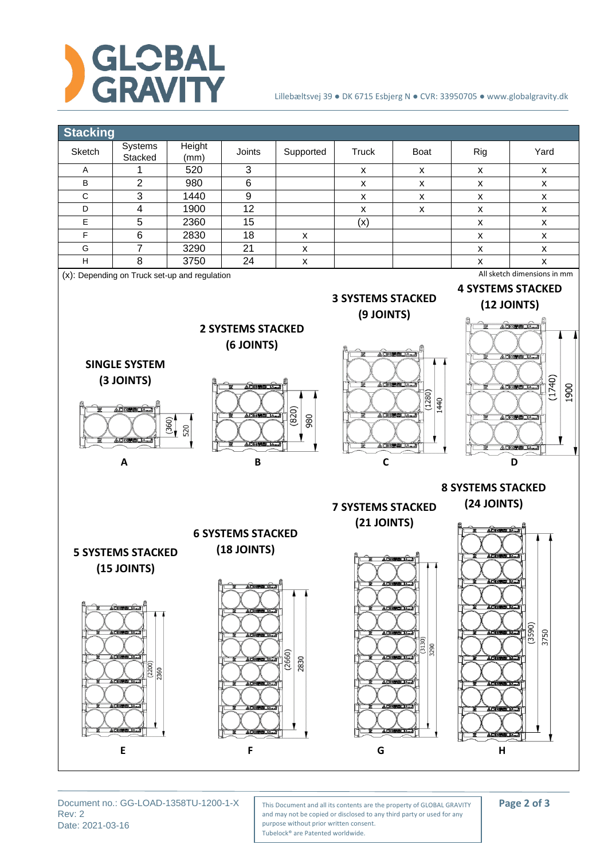

## Lillebæltsvej 39 ● DK 6715 Esbjerg N ● CVR: 33950705 ● www.globalgravity.dk



Rev: 2 Date: 2021-03-16

Document no.: GG-LOAD-1358TU-1200-1-X | This Document and all its contents are the property of GLOBAL GRAVITY | **Page 2 of 3** and may not be copied or disclosed to any third party or used for any purpose without prior written consent. Tubelock® are Patented worldwide.